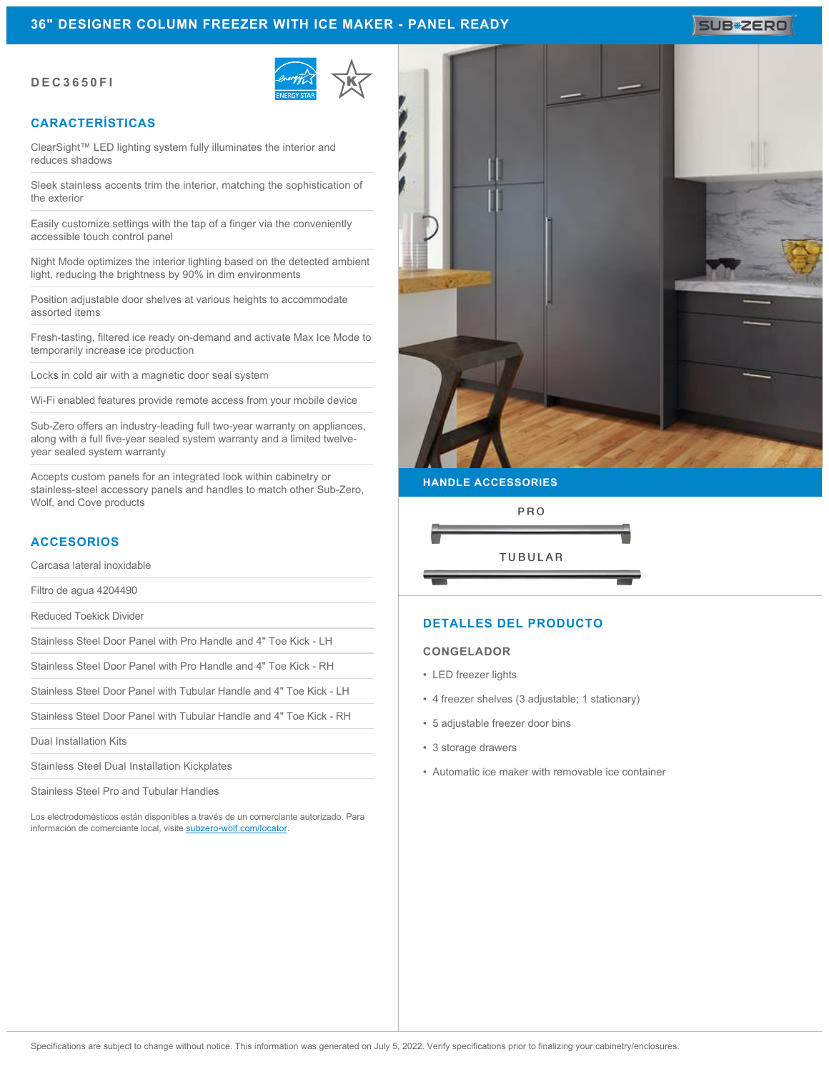#### **36" DESIGNER COLUMN FREEZER WITH ICE MAKER - PANEL READY**

#### **DEC3650FI**



## **CARACTERÍSTICAS**

ClearSight™ LED lighting system fully illuminates the interior and reduces shadows

Sleek stainless accents trim the interior, matching the sophistication of the exterior

Easily customize settings with the tap of a finger via the conveniently accessible touch control panel

Night Mode optimizes the interior lighting based on the detected ambient light, reducing the brightness by 90% in dim environments

Position adjustable door shelves at various heights to accommodate assorted items

Fresh-tasting, filtered ice ready on-demand and activate Max Ice Mode to temporarily increase ice production

Locks in cold air with a magnetic door seal system

Wi-Fi enabled features provide remote access from your mobile device

Sub-Zero offers an industry-leading full two-year warranty on appliances, along with a full five-year sealed system warranty and a limited twelveyear sealed system warranty

Accepts custom panels for an integrated look within cabinetry or stainless-steel accessory panels and handles to match other Sub-Zero, Wolf, and Cove products

#### **ACCESORIOS**

Carcasa lateral inoxidable

Filtro de agua 4204490

Reduced Toekick Divider

Stainless Steel Door Panel with Pro Handle and 4" Toe Kick - LH

Stainless Steel Door Panel with Pro Handle and 4" Toe Kick - RH

Stainless Steel Door Panel with Tubular Handle and 4" Toe Kick - LH

Stainless Steel Door Panel with Tubular Handle and 4" Toe Kick - RH

Dual Installation Kits

Stainless Steel Dual Installation Kickplates

Stainless Steel Pro and Tubular Handles

Los electrodomésticos están disponibles a través de un comerciante autorizado. Para información de comerciante local, visite [subzero-wolf.com/locator](http://www.subzero-wolf.com/locator).



**HANDLE ACCESSORIES**



#### **DETALLES DEL PRODUCTO**

#### **CONGELADOR**

- LED freezer lights
- 4 freezer shelves (3 adjustable; 1 stationary)
- 5 adjustable freezer door bins
- 3 storage drawers
- Automatic ice maker with removable ice container

## **SUB#ZERO**